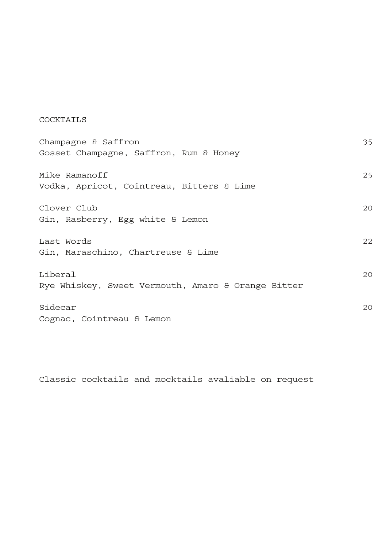# COCKTAILS

| Champagne & Saffron                                | 35   |
|----------------------------------------------------|------|
| Gosset Champagne, Saffron, Rum & Honey             |      |
|                                                    |      |
| Mike Ramanoff                                      | 25   |
| Vodka, Apricot, Cointreau, Bitters & Lime          |      |
| Clover Club                                        | 20   |
|                                                    |      |
| Gin, Rasberry, Egg white & Lemon                   |      |
| Last Words                                         | 2.2. |
| Gin, Maraschino, Chartreuse & Lime                 |      |
|                                                    |      |
| Liberal                                            | 20   |
| Rye Whiskey, Sweet Vermouth, Amaro & Orange Bitter |      |
|                                                    |      |
| Sidecar                                            | 20   |
| Cognac, Cointreau & Lemon                          |      |

Classic cocktails and mocktails avaliable on request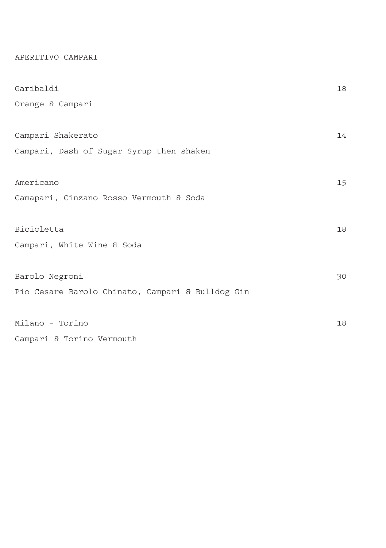APERITIVO CAMPARI

| Garibaldi                                        | 18 |
|--------------------------------------------------|----|
| Orange & Campari                                 |    |
|                                                  |    |
| Campari Shakerato                                | 14 |
| Campari, Dash of Sugar Syrup then shaken         |    |
|                                                  |    |
| Americano                                        | 15 |
| Camapari, Cinzano Rosso Vermouth & Soda          |    |
|                                                  |    |
| Bicicletta                                       | 18 |
| Campari, White Wine & Soda                       |    |
|                                                  |    |
| Barolo Negroni                                   | 30 |
| Pio Cesare Barolo Chinato, Campari & Bulldog Gin |    |
|                                                  |    |
| Milano - Torino                                  | 18 |
| Campari & Torino Vermouth                        |    |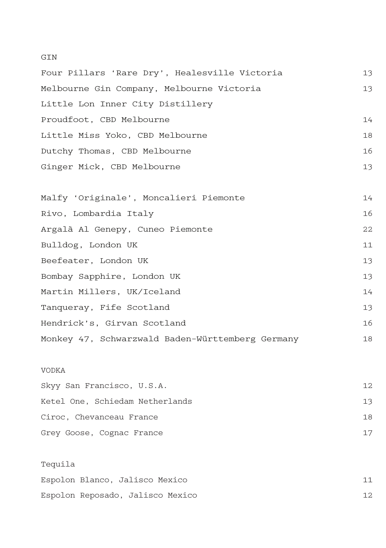## GIN

| Four Pillars 'Rare Dry', Healesville Victoria    | 13 |
|--------------------------------------------------|----|
| Melbourne Gin Company, Melbourne Victoria        | 13 |
| Little Lon Inner City Distillery                 |    |
| Proudfoot, CBD Melbourne                         | 14 |
| Little Miss Yoko, CBD Melbourne                  | 18 |
| Dutchy Thomas, CBD Melbourne                     | 16 |
| Ginger Mick, CBD Melbourne                       | 13 |
|                                                  |    |
| Malfy 'Originale', Moncalieri Piemonte           | 14 |
| Rivo, Lombardia Italy                            | 16 |
| Argalà Al Genepy, Cuneo Piemonte                 | 22 |
| Bulldog, London UK                               | 11 |
| Beefeater, London UK                             | 13 |
| Bombay Sapphire, London UK                       | 13 |
| Martin Millers, UK/Iceland                       | 14 |
| Tanqueray, Fife Scotland                         | 13 |
| Hendrick's, Girvan Scotland                      | 16 |
| Monkey 47, Schwarzwald Baden-Württemberg Germany | 18 |
|                                                  |    |
| <b>VODKA</b>                                     |    |
| Skyy San Francisco, U.S.A.                       | 12 |
| Ketel One, Schiedam Netherlands                  | 13 |
| Ciroc, Chevanceau France                         | 18 |
| Grey Goose, Cognac France                        | 17 |
|                                                  |    |
| Tequila                                          |    |
| Espolon Blanco, Jalisco Mexico                   | 11 |
| Espolon Reposado, Jalisco Mexico                 | 12 |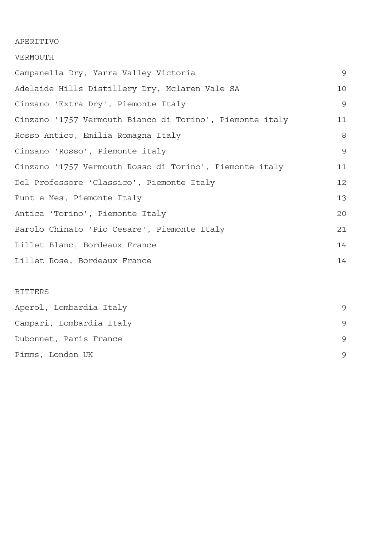# APERITIVO

#### VERMOUTH

| Campanella Dry, Yarra Valley Victoria                    | 9  |
|----------------------------------------------------------|----|
| Adelaide Hills Distillery Dry, Mclaren Vale SA           | 10 |
| Cinzano 'Extra Dry', Piemonte Italy                      | 9  |
| Cinzano '1757 Vermouth Bianco di Torino', Piemonte italy | 11 |
| Rosso Antico, Emilia Romagna Italy                       | 8  |
| Cinzano 'Rosso', Piemonte italy                          | 9  |
| Cinzano '1757 Vermouth Rosso di Torino', Piemonte italy  | 11 |
| Del Professore 'Classico', Piemonte Italy                | 12 |
| Punt e Mes, Piemonte Italy                               | 13 |
| Antica 'Torino', Piemonte Italy                          | 20 |
| Barolo Chinato 'Pio Cesare', Piemonte Italy              | 21 |
| Lillet Blanc, Bordeaux France                            | 14 |
| Lillet Rose, Bordeaux France                             | 14 |
|                                                          |    |

# BITTERS

| Aperol, Lombardia Italy  |   |
|--------------------------|---|
| Campari, Lombardia Italy | 9 |
| Dubonnet, Paris France   | 9 |
| Pimms, London UK         | 9 |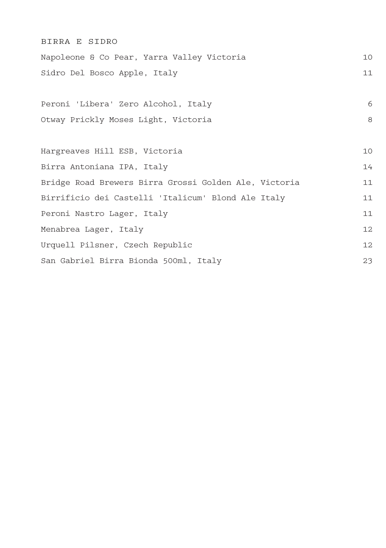| BIRRA E SIDRO                                         |    |
|-------------------------------------------------------|----|
| Napoleone & Co Pear, Yarra Valley Victoria            | 10 |
| Sidro Del Bosco Apple, Italy                          | 11 |
|                                                       |    |
| Peroni 'Libera' Zero Alcohol, Italy                   | 6  |
| Otway Prickly Moses Light, Victoria                   | 8  |
|                                                       |    |
| Hargreaves Hill ESB, Victoria                         | 10 |
| Birra Antoniana IPA, Italy                            | 14 |
| Bridge Road Brewers Birra Grossi Golden Ale, Victoria | 11 |
| Birrificio dei Castelli 'Italicum' Blond Ale Italy    | 11 |
| Peroni Nastro Lager, Italy                            | 11 |
| Menabrea Lager, Italy                                 | 12 |
| Urquell Pilsner, Czech Republic                       | 12 |
| San Gabriel Birra Bionda 500ml, Italy                 | 23 |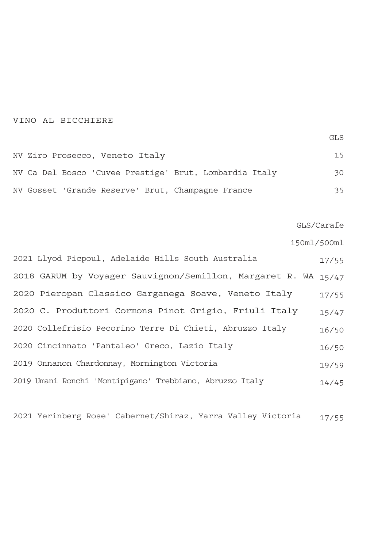### VINO AL BICCHIERE

GLS

| NV Ziro Prosecco, Veneto Italy                         | 15  |
|--------------------------------------------------------|-----|
| NV Ca Del Bosco 'Cuvee Prestige' Brut, Lombardia Italy | 30. |
| NV Gosset 'Grande Reserve' Brut, Champagne France      | 35. |

GLS/Carafe

150ml/500ml

| 2021 Llyod Picpoul, Adelaide Hills South Australia             | 17/55 |
|----------------------------------------------------------------|-------|
| 2018 GARUM by Voyager Sauvignon/Semillon, Margaret R. WA 15/47 |       |
| 2020 Pieropan Classico Garganega Soave, Veneto Italy           | 17/55 |
| 2020 C. Produttori Cormons Pinot Grigio, Friuli Italy          | 15/47 |
| 2020 Collefrisio Pecorino Terre Di Chieti, Abruzzo Italy       | 16/50 |
| 2020 Cincinnato 'Pantaleo' Greco, Lazio Italy                  | 16/50 |
| 2019 Onnanon Chardonnay, Mornington Victoria                   | 19/59 |
| 2019 Umani Ronchi 'Montipigano' Trebbiano, Abruzzo Italy       | 14/45 |

2021 Yerinberg Rose' Cabernet/Shiraz, Yarra Valley Victoria 17/55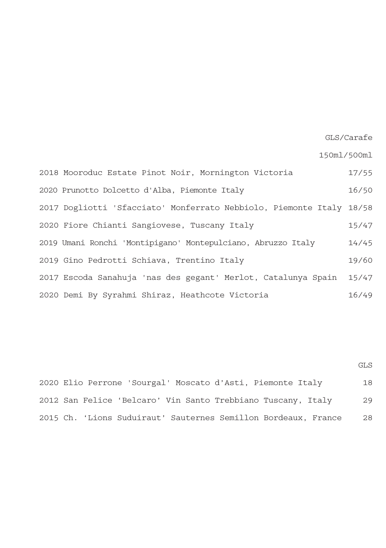GLS/Carafe

150ml/500ml

2018 Mooroduc Estate Pinot Noir, Mornington Victoria 2020 Prunotto Dolcetto d'Alba, Piemonte Italy 2017 Dogliotti 'Sfacciato' Monferrato Nebbiolo, Piemonte Italy 18/58 2020 Fiore Chianti Sangiovese, Tuscany Italy 2019 Umani Ronchi 'Montipigano' Montepulciano, Abruzzo Italy 2019 Gino Pedrotti Schiava, Trentino Italy 2017 Escoda Sanahuja 'nas des gegant' Merlot, Catalunya Spain 2020 Demi By Syrahmi Shiraz, Heathcote Victoria 17/55 16/50 15/47 14/45 19/60 15/47 16/49

GLS

2020 Elio Perrone 'Sourgal' Moscato d'Asti, Piemonte Italy 2012 San Felice 'Belcaro' Vin Santo Trebbiano Tuscany, Italy 2015 Ch. 'Lions Suduiraut' Sauternes Semillon Bordeaux, France 18 29 28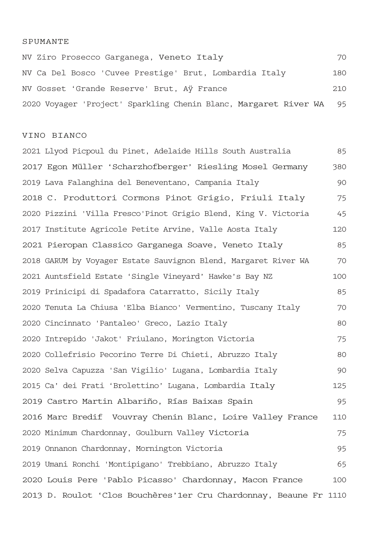#### SPUMANTE

NV Ziro Prosecco Garganega, Veneto Italy NV Ca Del Bosco 'Cuvee Prestige' Brut, Lombardia Italy NV Gosset 'Grande Reserve' Brut, Aÿ France 2020 Voyager 'Project' Sparkling Chenin Blanc, Margaret River WA 70 180 210 95

#### VINO BIANCO

2021 Llyod Picpoul du Pinet, Adelaide Hills South Australia 2017 Egon Müller 'Scharzhofberger' Riesling Mosel Germany 2019 Lava Falanghina del Beneventano, Campania Italy 2018 C. Produttori Cormons Pinot Grigio, Friuli Italy 2020 Pizzini 'Villa Fresco'Pinot Grigio Blend, King V. Victoria 2017 Institute Agricole Petite Arvine, Valle Aosta Italy 2021 Pieropan Classico Garganega Soave, Veneto Italy 2018 GARUM by Voyager Estate Sauvignon Blend, Margaret River WA 2021 Auntsfield Estate 'Single Vineyard' Hawke's Bay NZ 2019 Prinicipi di Spadafora Catarratto, Sicily Italy 2020 Tenuta La Chiusa 'Elba Bianco' Vermentino, Tuscany Italy 2020 Cincinnato 'Pantaleo' Greco, Lazio Italy 2020 Intrepido 'Jakot' Friulano, Morington Victoria 2020 Collefrisio Pecorino Terre Di Chieti, Abruzzo Italy 2020 Selva Capuzza 'San Vigilio' Lugana, Lombardia Italy 2015 Ca' dei Frati 'Brolettino' Lugana, Lombardia Italy 2019 Castro Martin Albariño, Rías Baixas Spain 2016 Marc Bredif Vouvray Chenin Blanc, Loire Valley France 2020 Minimum Chardonnay, Goulburn Valley Victoria 2019 Onnanon Chardonnay, Mornington Victoria 2019 Umani Ronchi 'Montipigano' Trebbiano, Abruzzo Italy 2020 Louis Pere 'Pablo Picasso' Chardonnay, Macon France 2013 D. Roulot 'Clos Bouchères'1er Cru Chardonnay, Beaune Fr 111085 380 90 75 45 120 85 70  $100$ 85 70 80 75 80 90 125 95 110 75 95 65 100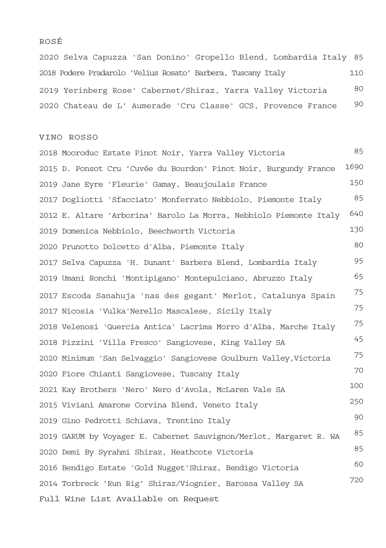## ROSÉ

2020 Selva Capuzza 'San Donino' Gropello Blend, Lombardia Italy 85 2018 Podere Pradarolo 'Velius Rosato' Barbera, Tuscany Italy 2019 Yerinberg Rose' Cabernet/Shiraz, Yarra Valley Victoria 2020 Chateau de L' Aumerade 'Cru Classe' GCS, Provence France 110  $80$ 90

#### VINO ROSSO

2018 Mooroduc Estate Pinot Noir, Yarra Valley Victoria 2015 D. Ponsot Cru 'Cuvée du Bourdon' Pinot Noir, Burgundy France 2019 Jane Eyre 'Fleurie' Gamay, Beaujoulais France 2017 Dogliotti 'Sfacciato' Monferrato Nebbiolo, Piemonte Italy 2012 E. Altare 'Arborina' Barolo La Morra, Nebbiolo Piemonte Italy 2019 Domenica Nebbiolo, Beechworth Victoria 2020 Prunotto Dolcetto d'Alba, Piemonte Italy 2017 Selva Capuzza 'H. Dunant' Barbera Blend, Lombardia Italy 2019 Umani Ronchi 'Montipigano' Montepulciano, Abruzzo Italy 2017 Escoda Sanahuja 'nas des gegant' Merlot, Catalunya Spain 2017 Nicosia 'Vulka'Nerello Mascalese, Sicily Italy 2018 Velenosi 'Quercia Antica' Lacrima Morro d'Alba, Marche Italy 2018 Pizzini 'Villa Fresco' Sangiovese, King Valley SA 2020 Minimum 'San Selvaggio' Sangiovese Goulburn Valley,Victoria 2020 Fiore Chianti Sangiovese, Tuscany Italy 2021 Kay Brothers 'Nero' Nero d'Avola, McLaren Vale SA 2015 Viviani Amarone Corvina Blend, Veneto Italy 2019 Gino Pedrotti Schiava, Trentino Italy 2019 GARUM by Voyager E. Cabernet Sauvignon/Merlot, Margaret R. WA 2020 Demi By Syrahmi Shiraz, Heathcote Victoria 2016 Bendigo Estate 'Gold Nugget'Shiraz, Bendigo Victoria 2014 Torbreck 'Run Rig' Shiraz/Viognier, Barossa Valley SA Full Wine List Available on Request 85 1690 150 85 640 130 80 95 65 75 75 75 45 75 70 100 250 90 85 85 60 720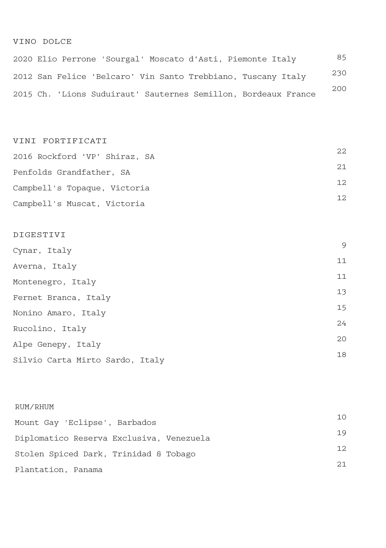# VINO DOLCE

2020 Elio Perrone 'Sourgal' Moscato d'Asti, Piemonte Italy 2012 San Felice 'Belcaro' Vin Santo Trebbiano, Tuscany Italy 2015 Ch. 'Lions Suduiraut' Sauternes Semillon, Bordeaux France 85 230 200

### VINI FORTIFICATI

| 2016 Rockford 'VP' Shiraz, SA | 2.2. |
|-------------------------------|------|
| Penfolds Grandfather, SA      | 2.1  |
| Campbell's Topaque, Victoria  | 12.  |
| Campbell's Muscat, Victoria   | 12.  |

# DIGESTIVI

| Cynar, Italy                    | 9  |
|---------------------------------|----|
| Averna, Italy                   | 11 |
| Montenegro, Italy               | 11 |
| Fernet Branca, Italy            | 13 |
| Nonino Amaro, Italy             | 15 |
| Rucolino, Italy                 | 24 |
| Alpe Genepy, Italy              | 20 |
| Silvio Carta Mirto Sardo, Italy | 18 |
|                                 |    |

## RUM/RHUM

| Mount Gay 'Eclipse', Barbados            | 10  |
|------------------------------------------|-----|
| Diplomatico Reserva Exclusiva, Venezuela | 19  |
| Stolen Spiced Dark, Trinidad & Tobago    | 12  |
| Plantation, Panama                       | 2.1 |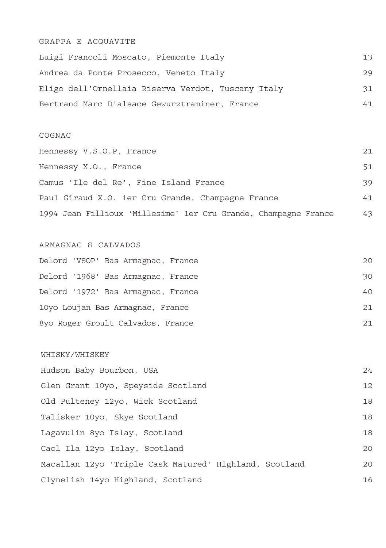# GRAPPA E ACQUAVITE

Luigi Francoli Moscato, Piemonte Italy Andrea da Ponte Prosecco, Veneto Italy Eligo dell'Ornellaia Riserva Verdot, Tuscany Italy Bertrand Marc D'alsace Gewurztraminer, France 13 29 31 41

#### COGNAC

| Hennessy V.S.O.P, France                                        | 2.1 |
|-----------------------------------------------------------------|-----|
| Hennessy X.O., France                                           | 51  |
| Camus 'Ile del Re', Fine Island France                          | 39  |
| Paul Giraud X.O. 1er Cru Grande, Champagne France               | 41  |
| 1994 Jean Fillioux 'Millesime' 1er Cru Grande, Champagne France | 43  |

### ARMAGNAC & CALVADOS

| Delord 'VSOP' Bas Armagnac, France | 20  |
|------------------------------------|-----|
| Delord '1968' Bas Armagnac, France | 30  |
| Delord '1972' Bas Armagnac, France | 40  |
| 10yo Loujan Bas Armagnac, France   | 2.1 |
| 8yo Roger Groult Calvados, France  | 2.1 |

#### WHISKY/WHISKEY

Hudson Baby Bourbon, USA Glen Grant 10yo, Speyside Scotland Old Pulteney 12yo, Wick Scotland Talisker 10yo, Skye Scotland Lagavulin 8yo Islay, Scotland Caol Ila 12yo Islay, Scotland Macallan 12yo 'Triple Cask Matured' Highland, Scotland Clynelish 14yo Highland, Scotland 24 12 18 18 18 20 20 16